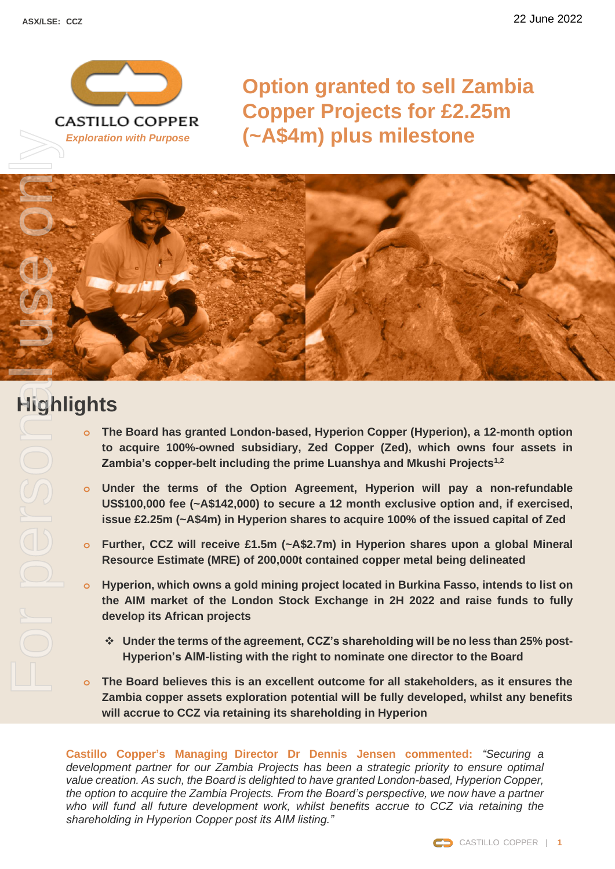

**Option granted to sell Zambia Copper Projects for £2.25m (~A\$4m) plus milestone**



# **Highlights**

- For personal use only
	- **o The Board has granted London-based, Hyperion Copper (Hyperion), a 12-month option to acquire 100%-owned subsidiary, Zed Copper (Zed), which owns four assets in Zambia's copper-belt including the prime Luanshya and Mkushi Projects1,2**
	- **o Under the terms of the Option Agreement, Hyperion will pay a non-refundable US\$100,000 fee (~A\$142,000) to secure a 12 month exclusive option and, if exercised, issue £2.25m (~A\$4m) in Hyperion shares to acquire 100% of the issued capital of Zed**
	- **o Further, CCZ will receive £1.5m (~A\$2.7m) in Hyperion shares upon a global Mineral Resource Estimate (MRE) of 200,000t contained copper metal being delineated**
	- **o Hyperion, which owns a gold mining project located in Burkina Fasso, intends to list on the AIM market of the London Stock Exchange in 2H 2022 and raise funds to fully develop its African projects**
		- ❖ **Under the terms of the agreement, CCZ's shareholding will be no less than 25% post-Hyperion's AIM-listing with the right to nominate one director to the Board**
	- **o The Board believes this is an excellent outcome for all stakeholders, as it ensures the Zambia copper assets exploration potential will be fully developed, whilst any benefits will accrue to CCZ via retaining its shareholding in Hyperion**

**Castillo Copper's Managing Director Dr Dennis Jensen commented:** *"Securing a development partner for our Zambia Projects has been a strategic priority to ensure optimal value creation. As such, the Board is delighted to have granted London-based, Hyperion Copper, the option to acquire the Zambia Projects. From the Board's perspective, we now have a partner who will fund all future development work, whilst benefits accrue to CCZ via retaining the shareholding in Hyperion Copper post its AIM listing."*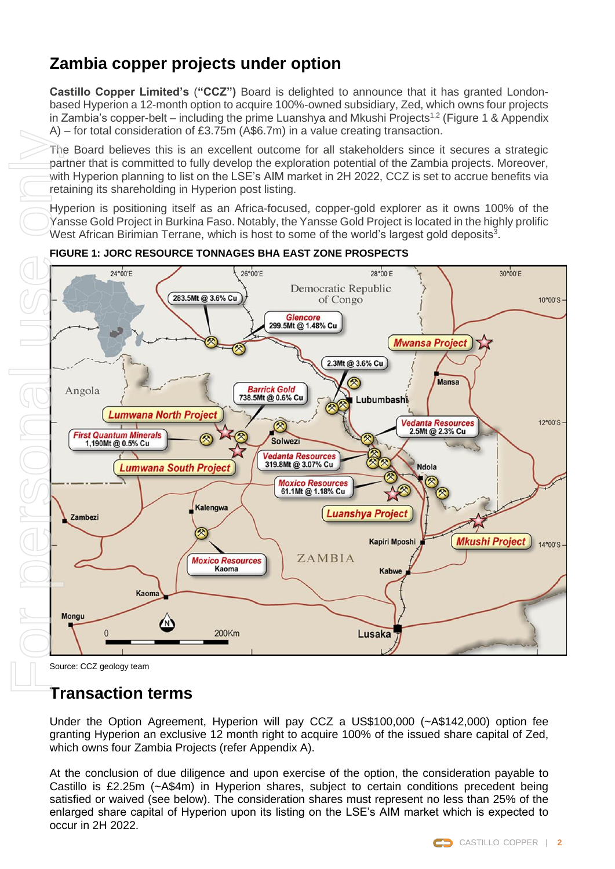## **Zambia copper projects under option**

**Castillo Copper Limited's** (**"CCZ")** Board is delighted to announce that it has granted Londonbased Hyperion a 12-month option to acquire 100%-owned subsidiary, Zed, which owns four projects in Zambia's copper-belt – including the prime Luanshya and Mkushi Projects<sup>1,2</sup> (Figure 1 & Appendix A) – for total consideration of £3.75m (A\$6.7m) in a value creating transaction.

The Board believes this is an excellent outcome for all stakeholders since it secures a strategic partner that is committed to fully develop the exploration potential of the Zambia projects. Moreover, with Hyperion planning to list on the LSE's AIM market in 2H 2022, CCZ is set to accrue benefits via retaining its shareholding in Hyperion post listing.

Hyperion is positioning itself as an Africa-focused, copper-gold explorer as it owns 100% of the Yansse Gold Project in Burkina Faso. Notably, the Yansse Gold Project is located in the highly prolific West African Birimian Terrane, which is host to some of the world's largest gold deposits<sup>3</sup>.



**FIGURE 1: JORC RESOURCE TONNAGES BHA EAST ZONE PROSPECTS**

Source: CCZ geology team

### **Transaction terms**

Under the Option Agreement, Hyperion will pay CCZ a US\$100,000 (~A\$142,000) option fee granting Hyperion an exclusive 12 month right to acquire 100% of the issued share capital of Zed, which owns four Zambia Projects (refer Appendix A).

At the conclusion of due diligence and upon exercise of the option, the consideration payable to Castillo is £2.25m (~A\$4m) in Hyperion shares, subject to certain conditions precedent being satisfied or waived (see below). The consideration shares must represent no less than 25% of the enlarged share capital of Hyperion upon its listing on the LSE's AIM market which is expected to occur in 2H 2022.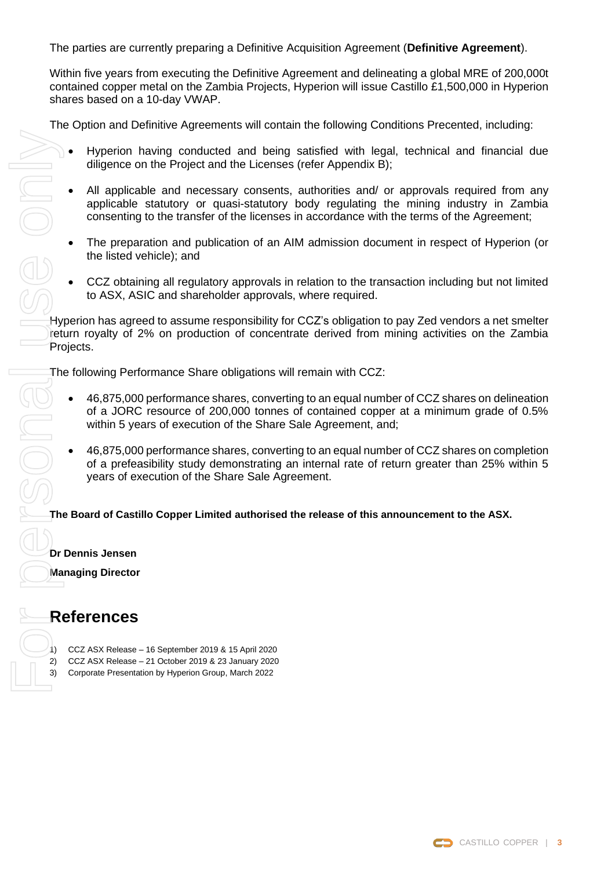The parties are currently preparing a Definitive Acquisition Agreement (**Definitive Agreement**).

Within five years from executing the Definitive Agreement and delineating a global MRE of 200,000t contained copper metal on the Zambia Projects, Hyperion will issue Castillo £1,500,000 in Hyperion shares based on a 10-day VWAP.

The Option and Definitive Agreements will contain the following Conditions Precented, including:

- Hyperion having conducted and being satisfied with legal, technical and financial due diligence on the Project and the Licenses (refer Appendix B);
	- All applicable and necessary consents, authorities and/ or approvals required from any applicable statutory or quasi-statutory body regulating the mining industry in Zambia consenting to the transfer of the licenses in accordance with the terms of the Agreement;
	- The preparation and publication of an AIM admission document in respect of Hyperion (or the listed vehicle); and
	- CCZ obtaining all regulatory approvals in relation to the transaction including but not limited to ASX, ASIC and shareholder approvals, where required.

Hyperion has agreed to assume responsibility for CCZ's obligation to pay Zed vendors a net smelter return royalty of 2% on production of concentrate derived from mining activities on the Zambia Projects.

The following Performance Share obligations will remain with CCZ:

- 46,875,000 performance shares, converting to an equal number of CCZ shares on delineation of a JORC resource of 200,000 tonnes of contained copper at a minimum grade of 0.5% within 5 years of execution of the Share Sale Agreement, and;
- 46,875,000 performance shares, converting to an equal number of CCZ shares on completion of a prefeasibility study demonstrating an internal rate of return greater than 25% within 5 years of execution of the Share Sale Agreement.

**The Board of Castillo Copper Limited authorised the release of this announcement to the ASX.**

**Dr Dennis Jensen**

**Managing Director**

#### **References**

- 1) CCZ ASX Release 16 September 2019 & 15 April 2020
- 2) CCZ ASX Release 21 October 2019 & 23 January 2020
	-

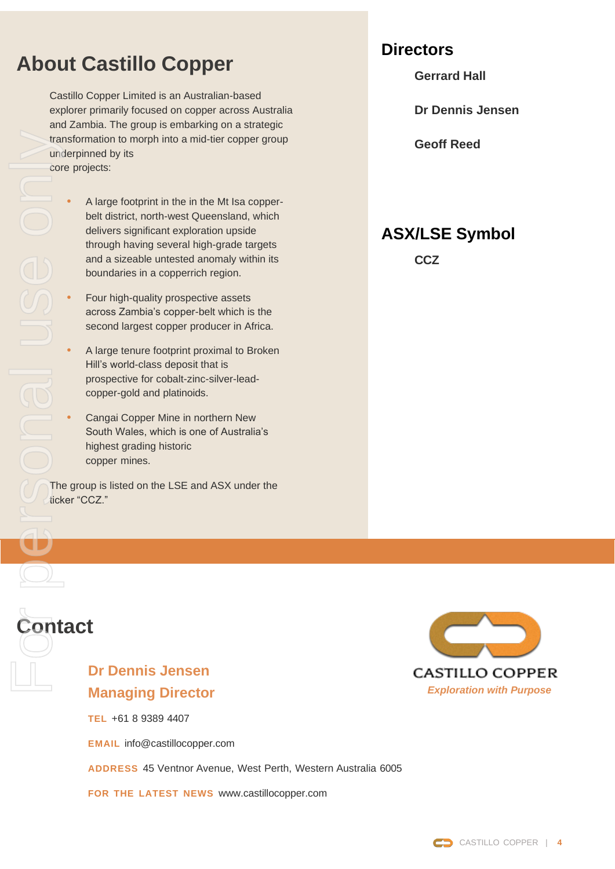# **About Castillo Copper**

Castillo Copper Limited is an Australian-based explorer primarily focused on copper across Australia and Zambia. The group is embarking on a strategic transformation to morph into a mid-tier copper group underpinned by its core projects:

- **•** A large footprint in the in the Mt Isa copperbelt district, north-west Queensland, which delivers significant exploration upside through having several high-grade targets and a sizeable untested anomaly within its boundaries in a copperrich region.
- **•** Four high-quality prospective assets across Zambia's copper-belt which is the second largest copper producer in Africa.
- **•** A large tenure footprint proximal to Broken Hill's world-class deposit that is prospective for cobalt-zinc-silver-leadcopper-gold and platinoids.
- **•** Cangai Copper Mine in northern New South Wales, which is one of Australia's highest grading historic copper mines.

The group is listed on the LSE and ASX under the ticker "CCZ."

## **Directors**

**Gerrard Hall** 

**Dr Dennis Jensen**

**Geoff Reed**

# **ASX/LSE Symbol**

**CCZ**



### **Dr Dennis Jensen Managing Director**

**TEL** +61 8 9389 4407

**EMAIL** [info@castillocopper.com](mailto:info@castillocopper.com)

**ADDRESS** 45 Ventnor Avenue, West Perth, Western Australia 6005

**FOR THE LATEST NEWS** [www.castillocopper.com](http://www.castillocopper.com/)



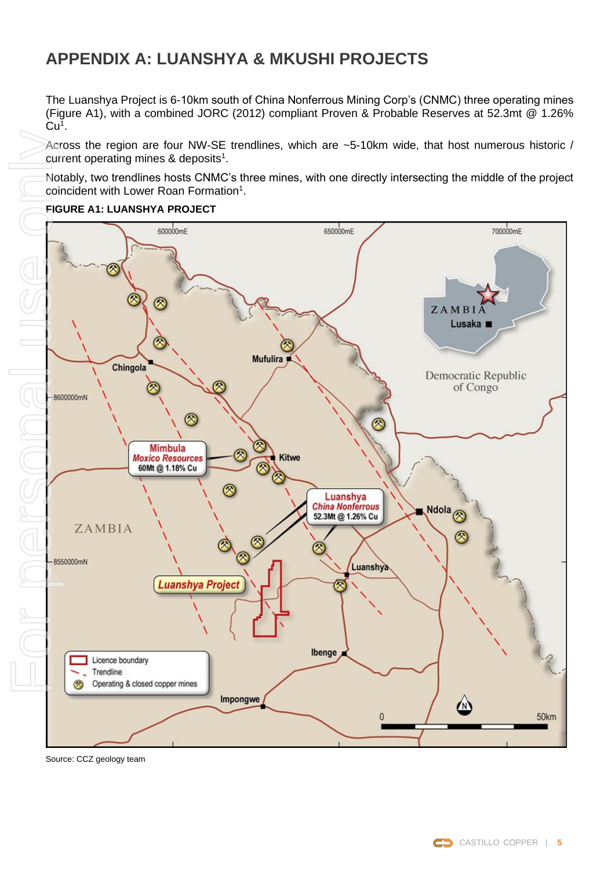# **APPENDIX A: LUANSHYA & MKUSHI PROJECTS**

The Luanshya Project is 6-10km south of China Nonferrous Mining Corp's (CNMC) three operating mines (Figure A1), with a combined JORC (2012) compliant Proven & Probable Reserves at 52.3mt @ 1.26%  $Cu<sup>1</sup>$ .

Across the region are four NW-SE trendlines, which are ~5-10km wide, that host numerous historic / current operating mines & deposits<sup>1</sup>.

Notably, two trendlines hosts CNMC's three mines, with one directly intersecting the middle of the project coincident with Lower Roan Formation<sup>1</sup>.



#### **FIGURE A1: LUANSHYA PROJECT**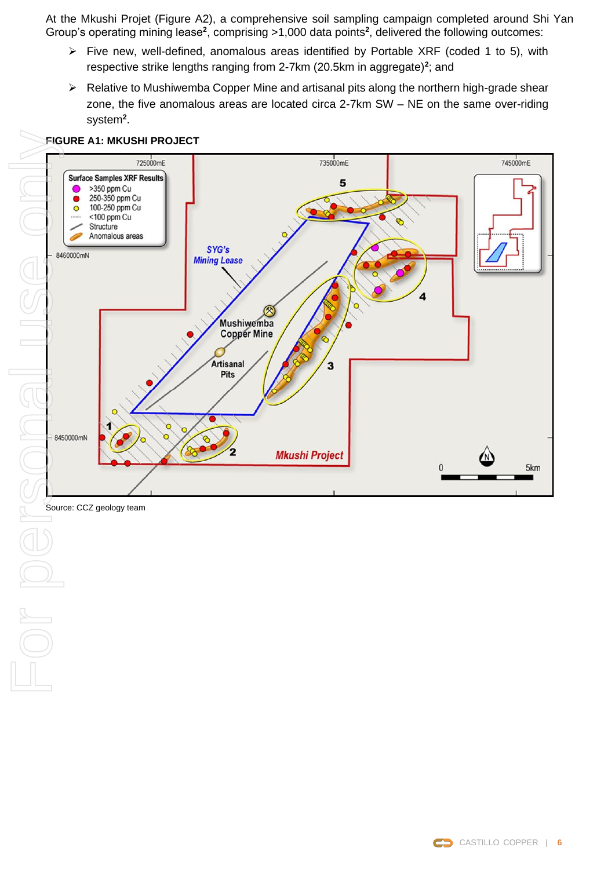At the Mkushi Projet (Figure A2), a comprehensive soil sampling campaign completed around Shi Yan Group's operating mining lease<sup>2</sup>, comprising >1,000 data points<sup>2</sup>, delivered the following outcomes:

- ➢ Five new, well-defined, anomalous areas identified by Portable XRF (coded 1 to 5), with respective strike lengths ranging from 2-7km (20.5km in aggregate)**<sup>2</sup>** ; and
- ➢ Relative to Mushiwemba Copper Mine and artisanal pits along the northern high-grade shear zone, the five anomalous areas are located circa 2-7km SW – NE on the same over-riding system**<sup>2</sup>** .



#### **FIGURE A1: MKUSHI PROJECT**